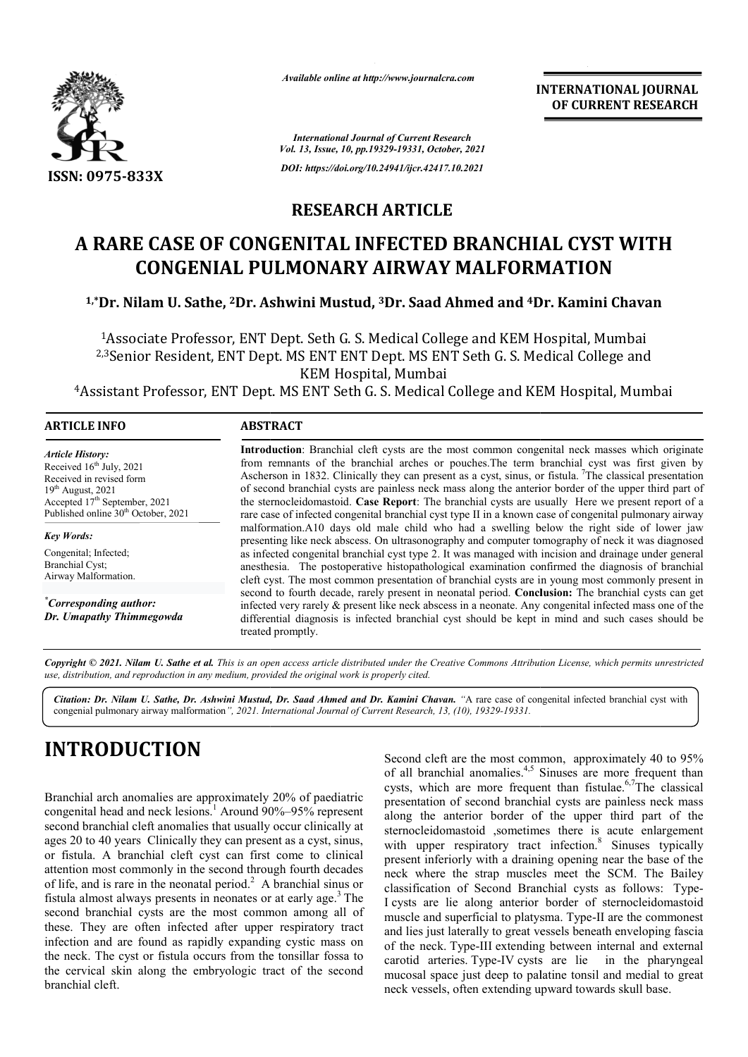

*Available online at http://www.journalcra.com*

**INTERNATIONAL JOURNAL OF CURRENT RESEARCH**

*International Journal of Current Research Vol. 13, Issue, 10, pp.19329-19331, October, 2021 DOI: https://doi.org/10.24941/ijcr.42417.10.2021*

### **RESEARCH ARTICLE**

# **A RARE CASE OF CONGENITAL INFECTED BRANCHIAL CYST WITH CONGENIAL PULMONARY AIRWAY MALFORMATION 1,\*Dr. Nilam U. Sathe, <sup>2</sup>Dr. Ashwini Mustud, <sup>3</sup>Dr. Saad Ahmed and <sup>4</sup>Dr. Kamini Chavan<br><sup>1,</sup>\*Dr. Nilam U. Sathe, <sup>2</sup>Dr. Ashwini Mustud, <sup>3</sup>Dr. Saad Ahmed and <sup>4</sup>Dr. Kamini Chavan**

1Associate Professor, ENT Dept. Seth G. S. Medical College and KEM Hospital, Mumbai <sup>2,3</sup>Senior Resident, ENT Dept. MS ENT ENT Dept. MS ENT Seth G. S. Medical College and<br>KEM Hospital, Mumbai <sup>1</sup>Associate Professor, ENT Dept. Seth G. S. Medical College and KEM Hospital, Mumbai<br><sup>2,3</sup>Senior Resident, ENT Dept. MS ENT ENT Dept. MS ENT Seth G. S. Medical College and<br><sup>4</sup>Assistant Professor, ENT Dept. MS ENT Seth G.

| <b>ARTICLE INFO</b>                                                                                                                                                                                                | <b>ABSTRACT</b>                                                                                                                                                                                                                                                                                                                                                                                                                                                                                                                                                                                                                                                                                                                                                                                                                                                                                                                                                                                                                                                                                                                                                                                                                                                                                                                                                                                                                                                                                               |
|--------------------------------------------------------------------------------------------------------------------------------------------------------------------------------------------------------------------|---------------------------------------------------------------------------------------------------------------------------------------------------------------------------------------------------------------------------------------------------------------------------------------------------------------------------------------------------------------------------------------------------------------------------------------------------------------------------------------------------------------------------------------------------------------------------------------------------------------------------------------------------------------------------------------------------------------------------------------------------------------------------------------------------------------------------------------------------------------------------------------------------------------------------------------------------------------------------------------------------------------------------------------------------------------------------------------------------------------------------------------------------------------------------------------------------------------------------------------------------------------------------------------------------------------------------------------------------------------------------------------------------------------------------------------------------------------------------------------------------------------|
| <b>Article History:</b><br>Received 16 <sup>th</sup> July, 2021<br>Received in revised form<br>$19th$ August, 2021<br>Accepted 17 <sup>th</sup> September, 2021<br>Published online 30 <sup>th</sup> October, 2021 | Introduction: Branchial cleft cysts are the most common congenital neck masses which originate<br>from remnants of the branchial arches or pouches. The term branchial cyst was first given by<br>Ascherson in 1832. Clinically they can present as a cyst, sinus, or fistula. <sup>7</sup> The classical presentation<br>of second branchial cysts are painless neck mass along the anterior border of the upper third part of<br>the sternocleidomastoid. Case Report: The branchial cysts are usually Here we present report of a<br>rare case of infected congenital branchial cyst type II in a known case of congenital pulmonary airway<br>malformation.A10 days old male child who had a swelling below the right side of lower jaw<br>presenting like neck abscess. On ultrasonography and computer tomography of neck it was diagnosed<br>as infected congenital branchial cyst type 2. It was managed with incision and drainage under general<br>anesthesia. The postoperative histopathological examination confirmed the diagnosis of branchial<br>cleft cyst. The most common presentation of branchial cysts are in young most commonly present in<br>second to fourth decade, rarely present in neonatal period. Conclusion: The branchial cysts can get<br>infected very rarely & present like neck abscess in a neonate. Any congenital infected mass one of the<br>differential diagnosis is infected branchial cyst should be kept in mind and such cases should be<br>treated promptly. |
| <b>Key Words:</b><br>Congenital; Infected;<br><b>Branchial Cyst:</b><br>Airway Malformation.                                                                                                                       |                                                                                                                                                                                                                                                                                                                                                                                                                                                                                                                                                                                                                                                                                                                                                                                                                                                                                                                                                                                                                                                                                                                                                                                                                                                                                                                                                                                                                                                                                                               |
| "Corresponding author:<br>Dr. Umapathy Thimmegowda                                                                                                                                                                 |                                                                                                                                                                                                                                                                                                                                                                                                                                                                                                                                                                                                                                                                                                                                                                                                                                                                                                                                                                                                                                                                                                                                                                                                                                                                                                                                                                                                                                                                                                               |

Copyright © 2021. Nilam U. Sathe et al. This is an open access article distributed under the Creative Commons Attribution License, which permits unrestricted *use, distribution, and reproduction in any medium, provided the original work is properly cited.*

Citation: Dr. Nilam U. Sathe, Dr. Ashwini Mustud, Dr. Saad Ahmed and Dr. Kamini Chavan. "A rare case of congenital infected branchial cyst with congenial pulmonary airway malformation*", 2021. International Journal of Current Research, 13, (10), 19329-19331.*

# **INTRODUCTION**

Branchial arch anomalies are approximately 20% of paediatric congenital head and neck lesions.<sup>1</sup> Around 90%–95% represent second branchial cleft anomalies that usually occur clinically at ages 20 to 40 years Clinically they can present as a cyst, sinus, or fistula. A branchial cleft cyst can first come to clinical attention most commonly in the second through fourth decades of life, and is rare in the neonatal period.<sup>2</sup> A branchial sinus or fistula almost always presents in neonates or at early age <sup>3</sup> The second branchial cysts are the most common among all of these. They are often infected after upper respiratory tract infection and are found as rapidly expanding cystic mass on the neck. The cyst or fistula occurs from the tonsillar fossa to the cervical skin along the embryologic tract of the second branchial cleft. in the second through fourth de-<br>onatal period.<sup>2</sup> A branchial sin-<br>nts in neonates or at early age.

Second cleft are the most common, approximately 40 to 95%<br>
of all branchial anomalies.<sup>4,5</sup> Sinuses are more frequent than<br>
cysts, which are more frequent than fistulae.<sup>6,7</sup>The classical<br>
o<sup>9%</sup>–95% represent<br>
along the a of all branchial anomalies.<sup>4,5</sup> Sinuses are more frequent than cysts, which are more frequent than fistulae.<sup>6,7</sup>The classical presentation of second branchial cysts are painless neck mass presentation of second branchial cysts are painless neck mass along the anterior border of the upper third part of the sternocleidomastoid ,sometimes there is acute enlargement with upper respiratory tract infection.<sup>8</sup> Sinuses typically present inferiorly with a draining opening near the base of the present inferiorly with a draining opening near the base of the neck where the strap muscles meet the SCM. The Bailey classification of Second Branchial cysts as follows: Type-I cysts are lie along anterior border of sternocleidomastoid muscle and superficial to platysma. Type-II are the commonest and lies just laterally to great vessels beneath enveloping fascia of the neck. Type-III extending between internal and external carotid arteries. Type-IV cysts are lie in the pharyngeal mucosal space just deep to palatine tonsil and medial to great neck vessels, often extending upward towards skull base. d cleft are the most common, approximately 40 to 95% branchial anomalies.<sup>4,5</sup> Sinuses are more frequent than which are more frequent than fistulae.<sup>6,7</sup>The classical **INTERNATIONAL JOURNAL TOREMATION COURNAL TO CONDUCT THE CONDUCT CONDUCT CONDUCT (THE CONDUCT) (THE CONDUCT) (THE CONDUCT) (THE CONDUCT) (THE CONDUCT) (THE CONDUCT) (THE CONDUCT) (THE CONDUCT) (THE CONDUCT) (THE CONDUCT)**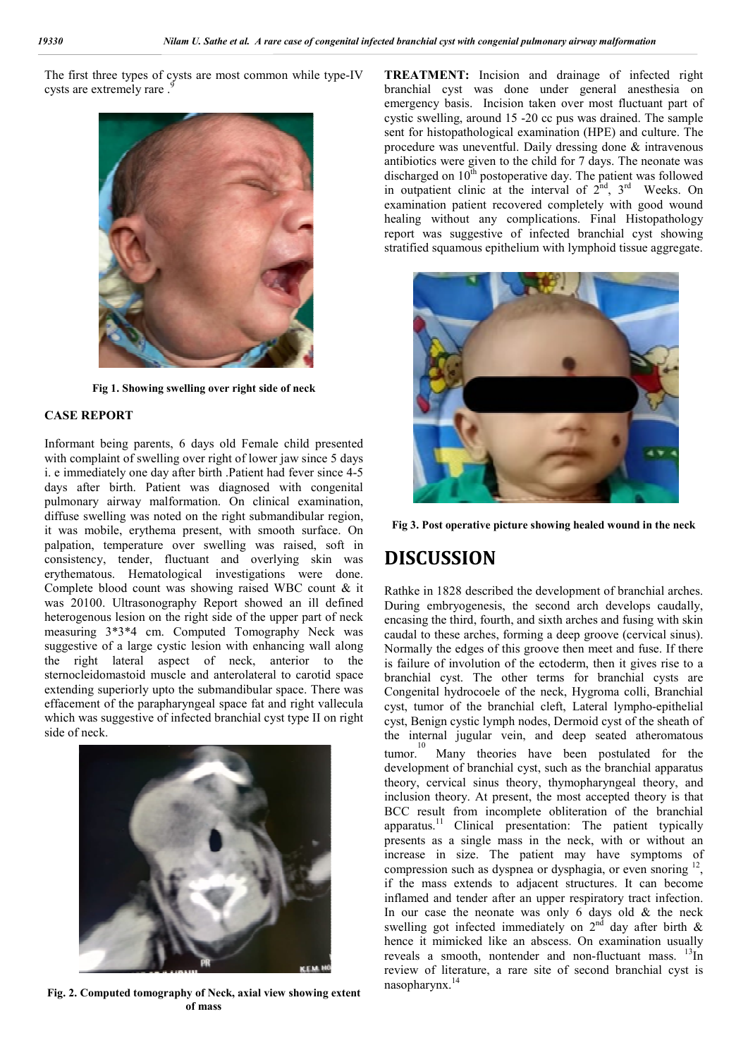The first three types of cysts are most common while type-IV cysts are extremely rare.



**Fig 1. Showing swelling over right side of neck**

### **CASE REPORT**

Informant being parents, 6 days old Female child presented with complaint of swelling over right of lower jaw since 5 days i. e immediately one day after birth .Patient had fever since 4-5 days after birth. Patient was diagnosed with congenital pulmonary airway malformation. On clinical examination, diffuse swelling was noted on the right submandibular region, it was mobile, erythema present, with smooth surface. On palpation, temperature over swelling was raised, soft in consistency, tender, fluctuant and overlying skin was erythematous. Hematological investigations were done. Complete blood count was showing raised WBC count & it was 20100. Ultrasonography Report showed an ill defined heterogenous lesion on the right side of the upper part of neck measuring 3\*3\*4 cm. Computed Tomography Neck was suggestive of a large cystic lesion with enhancing wall along the right lateral aspect of neck, anterior to the sternocleidomastoid muscle and anterolateral to carotid space extending superiorly upto the submandibular space. There was effacement of the parapharyngeal space fat and right vallecula which was suggestive of infected branchial cyst type II on right side of neck.



**Fig. 2. Computed tomography of Neck, axial view showing extent of mass**

**TREATMENT:** Incision and drainage of infected right branchial cyst was done under general anesthesia on emergency basis. Incision taken over most fluctuant part of cystic swelling, around 15 -20 cc pus was drained. The sample sent for histopathological examination (HPE) and culture. The procedure was uneventful. Daily dressing done & intravenous antibiotics were given to the child for 7 days. The neonate was discharged on  $10<sup>th</sup>$  postoperative day. The patient was followed in outpatient clinic at the interval of  $2<sup>nd</sup>$ ,  $3<sup>rd</sup>$  Weeks. On examination patient recovered completely with good wound healing without any complications. Final Histopathology report was suggestive of infected branchial cyst showing stratified squamous epithelium with lymphoid tissue aggregate.



**Fig 3. Post operative picture showing healed wound in the neck**

# **DISCUSSION**

Rathke in 1828 described the development of branchial arches. During embryogenesis, the second arch develops caudally, encasing the third, fourth, and sixth arches and fusing with skin caudal to these arches, forming a deep groove (cervical sinus). Normally the edges of this groove then meet and fuse. If there is failure of involution of the ectoderm, then it gives rise to a branchial cyst. The other terms for branchial cysts are Congenital hydrocoele of the neck, Hygroma colli, Branchial cyst, tumor of the branchial cleft, Lateral lympho-epithelial cyst, Benign cystic lymph nodes, Dermoid cyst of the sheath of the internal jugular vein, and deep seated atheromatous tumor.<sup>10</sup> Many theories have been postulated for the development of branchial cyst, such as the branchial apparatus theory, cervical sinus theory, thymopharyngeal theory, and inclusion theory. At present, the most accepted theory is that BCC result from incomplete obliteration of the branchial apparatus.<sup>11</sup> Clinical presentation: The patient typically presents as a single mass in the neck, with or without an increase in size. The patient may have symptoms of compression such as dyspnea or dysphagia, or even snoring  $12$ , if the mass extends to adjacent structures. It can become inflamed and tender after an upper respiratory tract infection. In our case the neonate was only 6 days old & the neck swelling got infected immediately on  $2<sup>nd</sup>$  day after birth & hence it mimicked like an abscess. On examination usually reveals a smooth, nontender and non-fluctuant mass.  $^{13}$ In review of literature, a rare site of second branchial cyst is nasopharynx.<sup>14</sup>